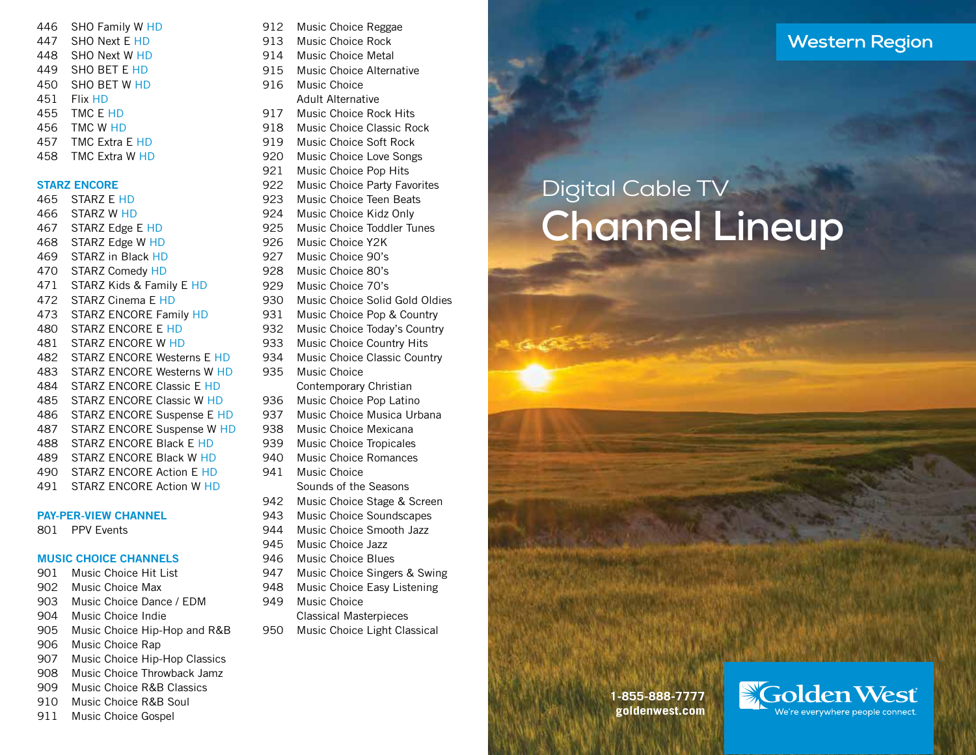| 446 | SHO Family W HD       |
|-----|-----------------------|
| 447 | SHO Next E HD         |
| 448 | SHO Next W HD         |
| 449 | <b>SHO BET E HD</b>   |
| 450 | <b>SHO BET W HD</b>   |
| 451 | Flix HD               |
| 455 | TMC E HD              |
| 456 | TMC W HD              |
| 457 | <b>TMC Extra E HD</b> |
| 458 | <b>TMC Extra W HD</b> |

### STARZ ENCORE

| 465   | STARZ E HD                      |
|-------|---------------------------------|
| 466   | <b>STARZ W HD</b>               |
| 467 - | STARZ Edge E HD                 |
| 468   | STARZ Edge W HD                 |
| 469   | STARZ in Black HD               |
| 470 - | <b>STARZ Comedy HD</b>          |
| 471   | STARZ Kids & Family E HD        |
| 472   | STARZ Cinema E HD               |
| 473   | <b>STARZ ENCORE Family HD</b>   |
| 480 - | STARZ ENCORE E HD               |
| 481 - | STARZ ENCORE W HD               |
|       | 482 STARZ ENCORE Westerns E HD  |
|       | 483 STARZ ENCORE Westerns W HD  |
| 484   | STARZ ENCORE Classic E HD       |
| 485   | STARZ ENCORE Classic W HD       |
| 486 - | STARZ ENCORE Suspense E HD      |
| 487 - | STARZ ENCORE Suspense W HD      |
| 488   | STARZ ENCORE Black E HD         |
| 489   | STARZ ENCORE Black W HD         |
| 490   | <b>STARZ ENCORE Action E HD</b> |
| 491   | STARZ ENCORE Action W HD        |

## PAY-PER-VIEW CHANNEL

801 PPV Events

# MUSIC CHOICE CHANNELS

- 901 Music Choice Hit List
- 902 Music Choice Max
- 903 Music Choice Dance / EDM
- 904 Music Choice Indie
- 905 Music Choice Hip-Hop and R&B
- 906 Music Choice Rap
- 907 Music Choice Hip-Hop Classics
- 908 Music Choice Throwback Jamz
- 909 Music Choice R&B Classics
- 910 Music Choice R&B Soul
- 911 Music Choice Gospel
- 912 Music Choice Reggae
- 913 Music Choice Rock
- 914 Music Choice Metal
- 915 Music Choice Alternative
- 916 Music Choice Adult Alternative
- 917 Music Choice Rock Hits
- 918 Music Choice Classic Rock
- 919 Music Choice Soft Rock
- 920 Music Choice Love Songs
- 921 Music Choice Pop Hits
- 922 Music Choice Party Favorites
- 923 Music Choice Teen Beats
- 924 Music Choice Kidz Only
- 925 Music Choice Toddler Tunes
- 926 Music Choice Y2K
- 927 Music Choice 90's
- 928 Music Choice 80's
- 929 Music Choice 70's
- 930 Music Choice Solid Gold Oldies
- 931 Music Choice Pop & Country
- 932 Music Choice Today's Country
- 933 Music Choice Country Hits
- 934 Music Choice Classic Country
- 935 Music Choice Contemporary Christian
- 936 Music Choice Pop Latino
- 937 Music Choice Musica Urbana
- 938 Music Choice Mexicana
- 939 Music Choice Tropicales
- 940 Music Choice Romances
- 941 Music Choice Sounds of the Seasons
- 942 Music Choice Stage & Screen
- 943 Music Choice Soundscapes
- 944 Music Choice Smooth Jazz
- 945 Music Choice Jazz
- 946 Music Choice Blues
- 947 Music Choice Singers & Swing
- 948 Music Choice Easy Listening
- 949 Music Choice Classical Masterpieces
- 950 Music Choice Light Classical

# **Western Region**

# Digital Cable TV **Channel Lineup**

**1-855-888-7777 goldenwest.com**